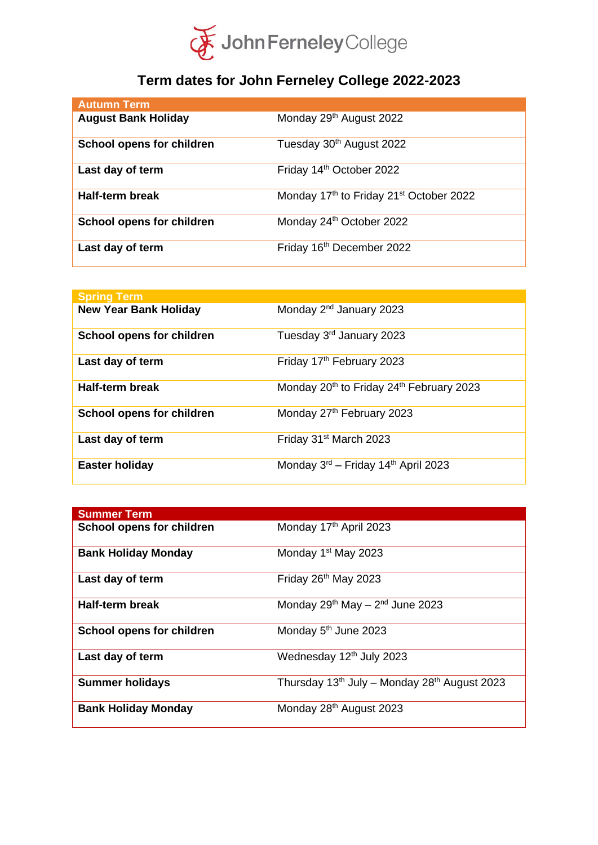

## **Term dates for John Ferneley College 2022-2023**

| <b>Autumn Term</b>         |                                                     |
|----------------------------|-----------------------------------------------------|
| <b>August Bank Holiday</b> | Monday 29th August 2022                             |
| School opens for children  | Tuesday 30th August 2022                            |
| Last day of term           | Friday 14th October 2022                            |
| <b>Half-term break</b>     | Monday 17th to Friday 21 <sup>st</sup> October 2022 |
| School opens for children  | Monday 24th October 2022                            |
| Last day of term           | Friday 16th December 2022                           |

| <b>Spring Term</b>               |                                                                  |
|----------------------------------|------------------------------------------------------------------|
| <b>New Year Bank Holiday</b>     | Monday 2 <sup>nd</sup> January 2023                              |
| <b>School opens for children</b> | Tuesday 3 <sup>rd</sup> January 2023                             |
| Last day of term                 | Friday 17 <sup>th</sup> February 2023                            |
| Half-term break                  | Monday 20 <sup>th</sup> to Friday 24 <sup>th</sup> February 2023 |
| <b>School opens for children</b> | Monday 27th February 2023                                        |
| Last day of term                 | Friday 31 <sup>st</sup> March 2023                               |
| <b>Easter holiday</b>            | Monday 3 <sup>rd</sup> – Friday 14 <sup>th</sup> April 2023      |

| <b>Summer Term</b>         |                                              |
|----------------------------|----------------------------------------------|
| School opens for children  | Monday 17th April 2023                       |
| <b>Bank Holiday Monday</b> | Monday 1 <sup>st</sup> May 2023              |
| Last day of term           | Friday 26 <sup>th</sup> May 2023             |
| <b>Half-term break</b>     | Monday $29^{th}$ May $-2^{nd}$ June 2023     |
| School opens for children  | Monday 5 <sup>th</sup> June 2023             |
| Last day of term           | Wednesday 12th July 2023                     |
| <b>Summer holidays</b>     | Thursday 13th July - Monday 28th August 2023 |
| <b>Bank Holiday Monday</b> | Monday 28 <sup>th</sup> August 2023          |